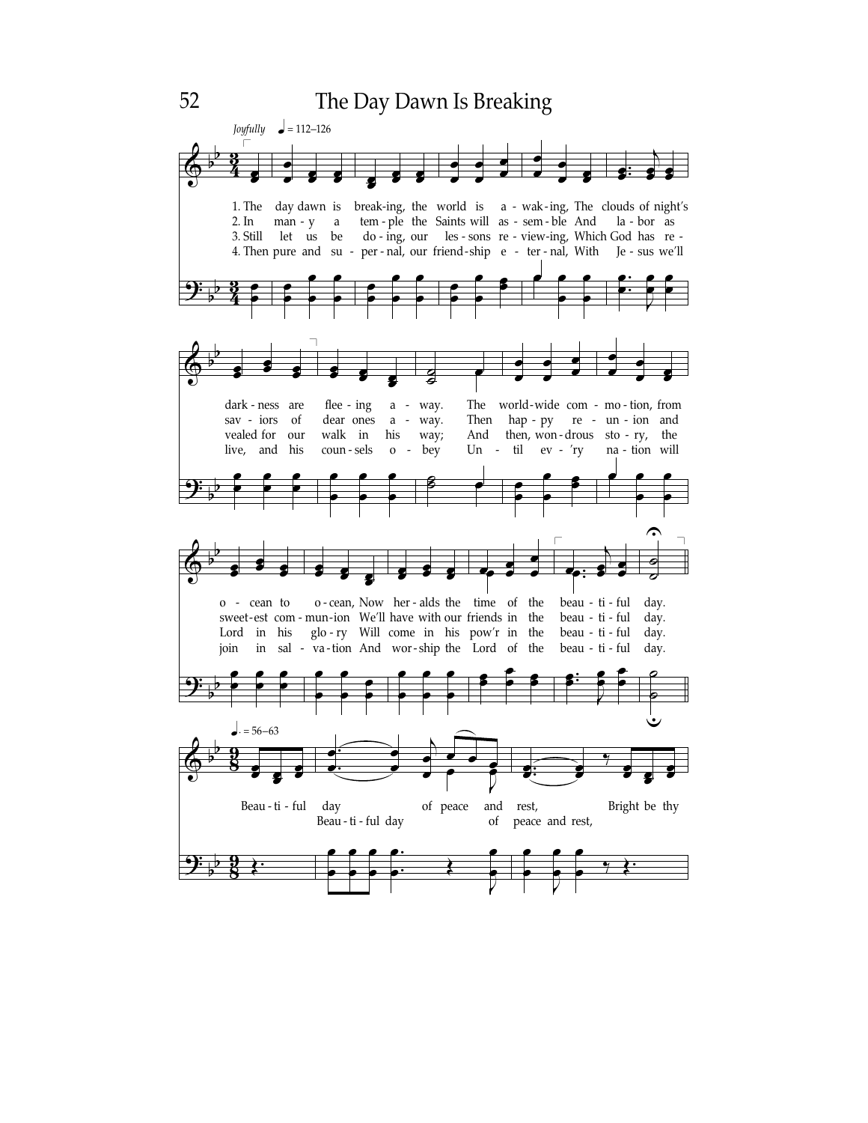